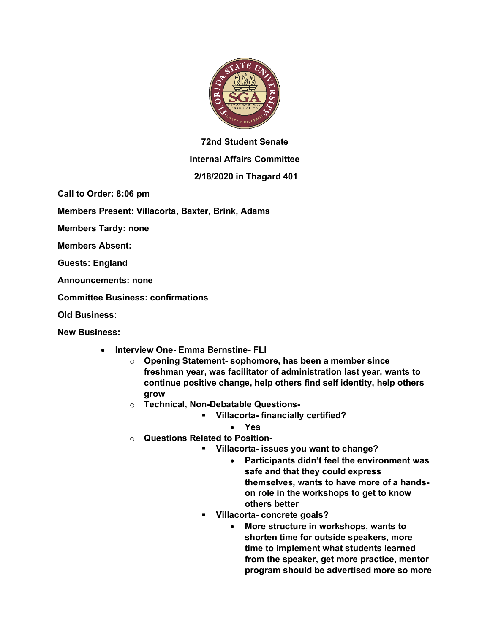

## **72nd Student Senate**

## **Internal Affairs Committee**

## **2/18/2020 in Thagard 401**

**Call to Order: 8:06 pm**

**Members Present: Villacorta, Baxter, Brink, Adams**

**Members Tardy: none**

**Members Absent:**

**Guests: England**

**Announcements: none**

**Committee Business: confirmations**

**Old Business:**

**New Business:**

- **Interview One- Emma Bernstine- FLI** 
	- o **Opening Statement- sophomore, has been a member since freshman year, was facilitator of administration last year, wants to continue positive change, help others find self identity, help others grow**
	- o **Technical, Non-Debatable Questions-**
		- § **Villacorta- financially certified?**
			- **Yes**
	- o **Questions Related to Position-**
		- § **Villacorta- issues you want to change?**
			- **Participants didn't feel the environment was safe and that they could express themselves, wants to have more of a handson role in the workshops to get to know others better**
		- § **Villacorta- concrete goals?**
			- **More structure in workshops, wants to shorten time for outside speakers, more time to implement what students learned from the speaker, get more practice, mentor program should be advertised more so more**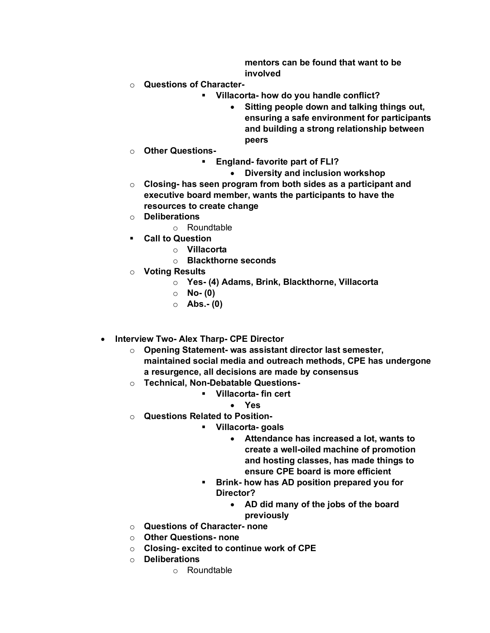**mentors can be found that want to be involved**

- o **Questions of Character-**
	- § **Villacorta- how do you handle conflict?**
		- **Sitting people down and talking things out, ensuring a safe environment for participants and building a strong relationship between peers**
- o **Other Questions-**
	- § **England- favorite part of FLI?**
		- **Diversity and inclusion workshop**
- o **Closing- has seen program from both sides as a participant and executive board member, wants the participants to have the resources to create change**
- o **Deliberations**
	- o Roundtable
- § **Call to Question**
	- o **Villacorta**
	- o **Blackthorne seconds**
- o **Voting Results**
	- o **Yes- (4) Adams, Brink, Blackthorne, Villacorta**
	- o **No- (0)**
	- o **Abs.- (0)**
- **Interview Two- Alex Tharp- CPE Director**
	- o **Opening Statement- was assistant director last semester, maintained social media and outreach methods, CPE has undergone a resurgence, all decisions are made by consensus**
	- o **Technical, Non-Debatable Questions-**
		- § **Villacorta- fin cert**
			- **Yes**
	- o **Questions Related to Position-**
		- § **Villacorta- goals**
			- **Attendance has increased a lot, wants to create a well-oiled machine of promotion and hosting classes, has made things to ensure CPE board is more efficient**
		- § **Brink- how has AD position prepared you for Director?**
			- **AD did many of the jobs of the board previously**
	- o **Questions of Character- none**
	- o **Other Questions- none**
	- o **Closing- excited to continue work of CPE**
	- o **Deliberations**
		- o Roundtable